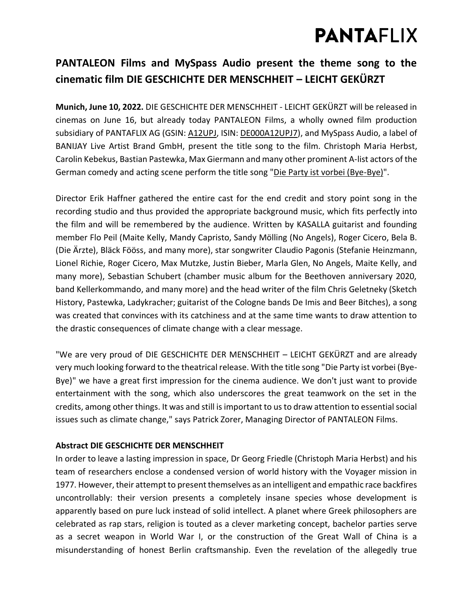# **PANTAFLIX**

### **PANTALEON Films and MySpass Audio present the theme song to the cinematic film DIE GESCHICHTE DER MENSCHHEIT – LEICHT GEKÜRZT**

**Munich, June 10, 2022.** DIE GESCHICHTE DER MENSCHHEIT - LEICHT GEKÜRZT will be released in cinemas on June 16, but already today PANTALEON Films, a wholly owned film production subsidiary of PANTAFLIX AG (GSIN: [A12UPJ,](https://www.boerse-frankfurt.de/aktie/pantaflix-ag) ISIN: [DE000A12UPJ7\)](https://www.boerse-frankfurt.de/equity/pantaflix-ag), and MySpass Audio, a label of BANIJAY Live Artist Brand GmbH, present the title song to the film. Christoph Maria Herbst, Carolin Kebekus, Bastian Pastewka, Max Giermann and many other prominent A-list actors of the German comedy and acting scene perform the title song ["Die Party ist vorbei \(Bye-Bye\)"](https://youtu.be/DyPj1JU-Sxk).

Director Erik Haffner gathered the entire cast for the end credit and story point song in the recording studio and thus provided the appropriate background music, which fits perfectly into the film and will be remembered by the audience. Written by KASALLA guitarist and founding member Flo Peil (Maite Kelly, Mandy Capristo, Sandy Mölling (No Angels), Roger Cicero, Bela B. (Die Ärzte), Bläck Fööss, and many more), star songwriter Claudio Pagonis (Stefanie Heinzmann, Lionel Richie, Roger Cicero, Max Mutzke, Justin Bieber, Marla Glen, No Angels, Maite Kelly, and many more), Sebastian Schubert (chamber music album for the Beethoven anniversary 2020, band Kellerkommando, and many more) and the head writer of the film Chris Geletneky (Sketch History, Pastewka, Ladykracher; guitarist of the Cologne bands De Imis and Beer Bitches), a song was created that convinces with its catchiness and at the same time wants to draw attention to the drastic consequences of climate change with a clear message.

"We are very proud of DIE GESCHICHTE DER MENSCHHEIT – LEICHT GEKÜRZT and are already very much looking forward to the theatrical release. With the title song "Die Party ist vorbei (Bye-Bye)" we have a great first impression for the cinema audience. We don't just want to provide entertainment with the song, which also underscores the great teamwork on the set in the credits, among other things. It was and still is important to us to draw attention to essential social issues such as climate change," says Patrick Zorer, Managing Director of PANTALEON Films.

### **Abstract DIE GESCHICHTE DER MENSCHHEIT**

In order to leave a lasting impression in space, Dr Georg Friedle (Christoph Maria Herbst) and his team of researchers enclose a condensed version of world history with the Voyager mission in 1977. However, their attempt to present themselves as an intelligent and empathic race backfires uncontrollably: their version presents a completely insane species whose development is apparently based on pure luck instead of solid intellect. A planet where Greek philosophers are celebrated as rap stars, religion is touted as a clever marketing concept, bachelor parties serve as a secret weapon in World War I, or the construction of the Great Wall of China is a misunderstanding of honest Berlin craftsmanship. Even the revelation of the allegedly true